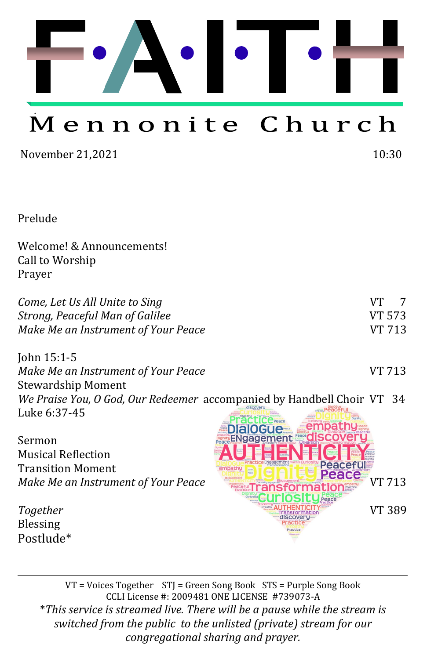

# Mennonite Church

November 21,2021 10:30

Prelude

Welcome! & Announcements! Call to Worship Prayer

| Come, Let Us All Unite to Sing      | VT - | $\overline{7}$ |
|-------------------------------------|------|----------------|
| Strong, Peaceful Man of Galilee     |      | VT 573         |
| Make Me an Instrument of Your Peace |      | VT 713         |

John 15:1-5 *Make Me an Instrument of Your Peace* VT 713 Stewardship Moment *We Praise You, O God, Our Redeemer* accompanied by Handbell Choir VT 34 Luke 6:37-45

Sermon Musical Reflection Transition Moment

Blessing Postlude\*

ENgagement *Make Me an Instrument of Your Peace* **VI 713 Together VT 389** 

VT = Voices Together STJ = Green Song Book STS = Purple Song Book CCLI License #: 2009481 ONE LICENSE #739073-A \**This service is streamed live. There will be a pause while the stream is switched from the public to the unlisted (private) stream for our congregational sharing and prayer.*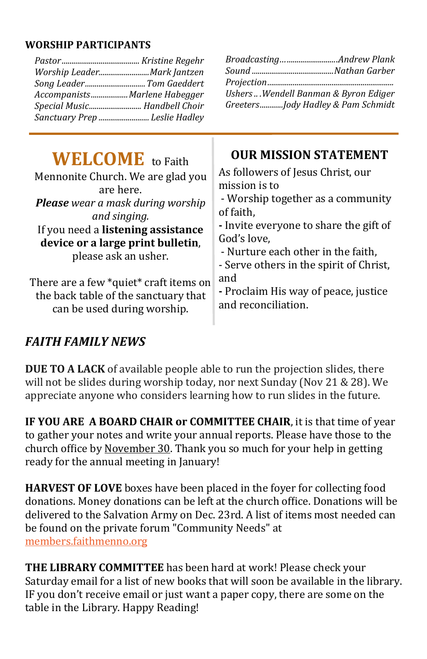#### **WORSHIP PARTICIPANTS**

| Worship LeaderMark Jantzen<br>Song Leader Tom Gaeddert<br>AccompanistsMarlene Habegger<br>Special Music Handbell Choir<br>Sanctuary Prep  Leslie Hadley                                                                                  | Ushers  Wendell Banman & Byron Ediger<br>GreetersJody Hadley & Pam Schmidt                                                                                                                                                                                                     |
|------------------------------------------------------------------------------------------------------------------------------------------------------------------------------------------------------------------------------------------|--------------------------------------------------------------------------------------------------------------------------------------------------------------------------------------------------------------------------------------------------------------------------------|
| <b>WELCOME</b> to Faith<br>Mennonite Church. We are glad you<br>are here.<br><b>Please</b> wear a mask during worship<br>and singing.<br>If you need a listening assistance<br>device or a large print bulletin,<br>please ask an usher. | <b>OUR MISSION STATEMENT</b><br>As followers of Jesus Christ, our<br>mission is to<br>- Worship together as a community<br>of faith,<br>- Invite everyone to share the gift of<br>God's love,<br>- Nurture each other in the faith,<br>- Serve others in the spirit of Christ, |
| There are a few *quiet* craft items on<br>the back table of the sanctuary that<br>can be used during worship.                                                                                                                            | and<br>- Proclaim His way of peace, justice<br>and reconciliation.                                                                                                                                                                                                             |

### *FAITH FAMILY NEWS*

**DUE TO A LACK** of available people able to run the projection slides, there will not be slides during worship today, nor next Sunday (Nov 21 & 28). We appreciate anyone who considers learning how to run slides in the future.

**IF YOU ARE A BOARD CHAIR or COMMITTEE CHAIR**, it is that time of year to gather your notes and write your annual reports. Please have those to the church office by November 30. Thank you so much for your help in getting ready for the annual meeting in January!

**HARVEST OF LOVE** boxes have been placed in the foyer for collecting food donations. Money donations can be left at the church office. Donations will be delivered to the Salvation Army on Dec. 23rd. A list of items most needed can be found on the private forum "Community Needs" at [members.faithmenno.org](http://members.faithmenno.org) 

**THE LIBRARY COMMITTEE** has been hard at work! Please check your Saturday email for a list of new books that will soon be available in the library. IF you don't receive email or just want a paper copy, there are some on the table in the Library. Happy Reading!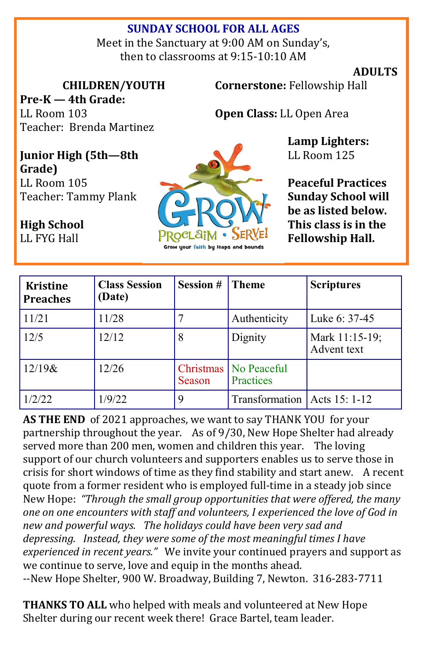### **SUNDAY SCHOOL FOR ALL AGES**

Meet in the Sanctuary at 9:00 AM on Sunday's, then to classrooms at 9:15-10:10 AM

#### **ADULTS**

**CHILDREN/YOUTH**

**Pre-K — 4th Grade:**  LL Room 103 Teacher: Brenda Martinez **Cornerstone:** Fellowship Hall

**Open Class:** LL Open Area

**Lamp Lighters:**  LL Room 125

**Peaceful Practices Sunday School will be as listed below. This class is in the Fellowship Hall.**

**Junior High (5th—8th Grade)** LL Room 105 Teacher: Tammy Plank

**High School**  LL FYG Hall



| <b>Kristine</b><br><b>Preaches</b> | <b>Class Session</b><br>(Date) | Session # | <b>Theme</b>                         | <b>Scriptures</b>             |
|------------------------------------|--------------------------------|-----------|--------------------------------------|-------------------------------|
| 11/21                              | 11/28                          |           | Authenticity                         | Luke 6: 37-45                 |
| 12/5                               | 12/12                          | 8         | Dignity                              | Mark 11:15-19;<br>Advent text |
| $12/19$ &                          | 12/26                          | Season    | Christmas   No Peaceful<br>Practices |                               |
| 1/2/22                             | 1/9/22                         | 9         | Transformation   Acts 15: 1-12       |                               |

**AS THE END** of 2021 approaches, we want to say THANK YOU for your partnership throughout the year. As of 9/30, New Hope Shelter had already served more than 200 men, women and children this year. The loving support of our church volunteers and supporters enables us to serve those in crisis for short windows of time as they find stability and start anew. A recent quote from a former resident who is employed full-time in a steady job since New Hope: *"Through the small group opportunities that were offered, the many one on one encounters with staff and volunteers, I experienced the love of God in new and powerful ways. The holidays could have been very sad and depressing. Instead, they were some of the most meaningful times I have experienced in recent years."* We invite your continued prayers and support as we continue to serve, love and equip in the months ahead. --New Hope Shelter, 900 W. Broadway, Building 7, Newton. 316-283-7711

**THANKS TO ALL** who helped with meals and volunteered at New Hope Shelter during our recent week there! Grace Bartel, team leader.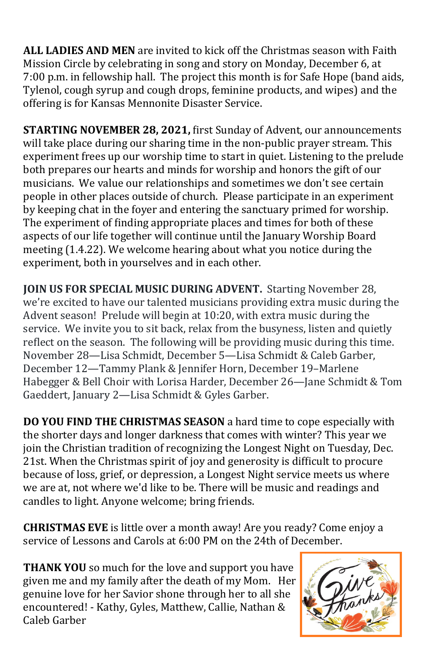**ALL LADIES AND MEN** are invited to kick off the Christmas season with Faith Mission Circle by celebrating in song and story on Monday, December 6, at 7:00 p.m. in fellowship hall. The project this month is for Safe Hope (band aids, Tylenol, cough syrup and cough drops, feminine products, and wipes) and the offering is for Kansas Mennonite Disaster Service.

**STARTING NOVEMBER 28, 2021,** first Sunday of Advent, our announcements will take place during our sharing time in the non-public prayer stream. This experiment frees up our worship time to start in quiet. Listening to the prelude both prepares our hearts and minds for worship and honors the gift of our musicians. We value our relationships and sometimes we don't see certain people in other places outside of church. Please participate in an experiment by keeping chat in the foyer and entering the sanctuary primed for worship. The experiment of finding appropriate places and times for both of these aspects of our life together will continue until the January Worship Board meeting (1.4.22). We welcome hearing about what you notice during the experiment, both in yourselves and in each other.

**JOIN US FOR SPECIAL MUSIC DURING ADVENT.** Starting November 28, we're excited to have our talented musicians providing extra music during the Advent season! Prelude will begin at 10:20, with extra music during the service. We invite you to sit back, relax from the busyness, listen and quietly reflect on the season. The following will be providing music during this time. November 28—Lisa Schmidt, December 5—Lisa Schmidt & Caleb Garber, December 12—Tammy Plank & Jennifer Horn, December 19–Marlene Habegger & Bell Choir with Lorisa Harder, December 26—Jane Schmidt & Tom Gaeddert, January 2—Lisa Schmidt & Gyles Garber.

**DO YOU FIND THE CHRISTMAS SEASON** a hard time to cope especially with the shorter days and longer darkness that comes with winter? This year we join the Christian tradition of recognizing the Longest Night on Tuesday, Dec. 21st. When the Christmas spirit of joy and generosity is difficult to procure because of loss, grief, or depression, a Longest Night service meets us where we are at, not where we'd like to be. There will be music and readings and candles to light. Anyone welcome; bring friends.

**CHRISTMAS EVE** is little over a month away! Are you ready? Come enjoy a service of Lessons and Carols at 6:00 PM on the 24th of December.

**THANK YOU** so much for the love and support you have given me and my family after the death of my Mom. Her genuine love for her Savior shone through her to all she encountered! - Kathy, Gyles, Matthew, Callie, Nathan & Caleb Garber

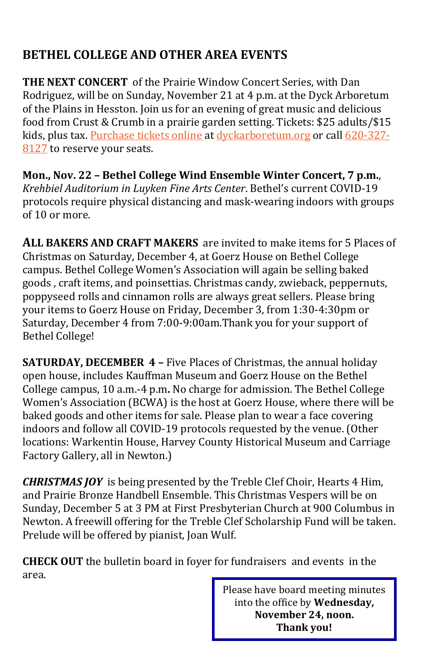### **BETHEL COLLEGE AND OTHER AREA EVENTS**

**THE NEXT CONCERT** of the Prairie Window Concert Series, with Dan Rodriguez, will be on Sunday, November 21 at 4 p.m. at the Dyck Arboretum of the Plains in Hesston. Join us for an evening of great music and delicious food from Crust & Crumb in a prairie garden setting. Tickets: \$25 adults/\$15 kids, plus tax. [Purchase tickets online](http://dyckarboretum.square.site/upcoming-events) at [dyckarboretum.org](http://dyckarboretum.org/) or call [620](tel:620-327-8127)-327- [8127](tel:620-327-8127) to reserve your seats.

**Mon., Nov. 22 – Bethel College Wind Ensemble Winter Concert, 7 p.m.**, *Krehbiel Auditorium in Luyken Fine Arts Center*. Bethel's current COVID-19 protocols require physical distancing and mask-wearing indoors with groups of 10 or more.

**ALL BAKERS AND CRAFT MAKERS** are invited to make items for 5 Places of Christmas on Saturday, December 4, at Goerz House on Bethel College campus. Bethel College Women's Association will again be selling baked goods , craft items, and poinsettias. Christmas candy, zwieback, peppernuts, poppyseed rolls and cinnamon rolls are always great sellers. Please bring your items to Goerz House on Friday, December 3, from 1:30-4:30pm or Saturday, December 4 from 7:00-9:00am.Thank you for your support of Bethel College!

**SATURDAY, DECEMBER 4 - Five Places of Christmas, the annual holiday** open house, includes Kauffman Museum and Goerz House on the Bethel College campus, 10 a.m.-4 p.m**.** No charge for admission. The Bethel College Women's Association (BCWA) is the host at Goerz House, where there will be baked goods and other items for sale. Please plan to wear a face covering indoors and follow all COVID-19 protocols requested by the venue. (Other locations: Warkentin House, Harvey County Historical Museum and Carriage Factory Gallery, all in Newton.)

*CHRISTMAS JOY* is being presented by the Treble Clef Choir, Hearts 4 Him, and Prairie Bronze Handbell Ensemble. This Christmas Vespers will be on Sunday, December 5 at 3 PM at First Presbyterian Church at 900 Columbus in Newton. A freewill offering for the Treble Clef Scholarship Fund will be taken. Prelude will be offered by pianist, Joan Wulf.

**CHECK OUT** the bulletin board in foyer for fundraisers and events in the area.

> Please have board meeting minutes into the office by **Wednesday, November 24, noon. Thank you!**